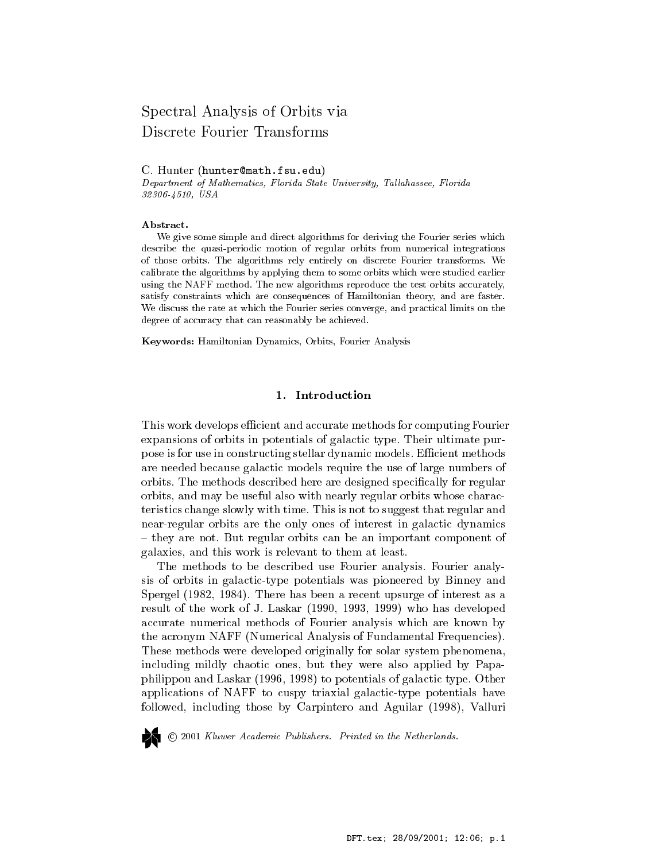# Spectral Analysis of Orbits via Discrete Fourier Transforms

### C. Hunter (hunter@math.fsu.edu)

Department of Mathematics, Florida State University, Tallahassee, Florida 32306-4510, USA

#### Abstract.

We give some simple and direct algorithms for deriving the Fourier series which describe the quasi-periodic motion of regular orbits from numerical integrations of those orbits. The algorithms rely entirely on discrete Fourier transforms. We calibrate the algorithms by applying them to some orbits which were studied earlier using the NAFF method. The new algorithms reproduce the test orbits accurately, satisfy constraints which are consequences of Hamiltonian theory, and are faster. We discuss the rate at which the Fourier series converge, and practical limits on the degree of accuracy that can reasonably be achieved.

Keywords: Hamiltonian Dynamics, Orbits, Fourier Analysis

# 1. Introduction

This work develops efficient and accurate methods for computing Fourier expansions of orbits in potentials of galactic type. Their ultimate purpose is for use in constructing stellar dynamic models. Efficient methods are needed because galactic models require the use of large numbers of orbits. The methods described here are designed specically for regular orbits, and may be useful also with nearly regular orbits whose characteristics change slowly with time. This is not to suggest that regular and near-regular orbits are the only ones of interest in galactic dynamics { they are not. But regular orbits can be an important component of galaxies, and this work is relevant to them at least.

The methods to be described use Fourier analysis. Fourier analysis of orbits in galactic-type potentials was pioneered by Binney and Spergel (1982, 1984). There has been a recent upsurge of interest as a result of the work of J. Laskar (1990, 1993, 1999) who has developed accurate numerical methods of Fourier analysis which are known by the acronym NAFF (Numerical Analysis of Fundamental Frequencies). These methods were developed originally for solar system phenomena, including mildly chaotic ones, but they were also applied by Papaphilippou and Laskar (1996, 1998) to potentials of galactic type. Other applications of NAFF to cuspy triaxial galactic-type potentials have followed, including those by Carpintero and Aguilar (1998), Valluri

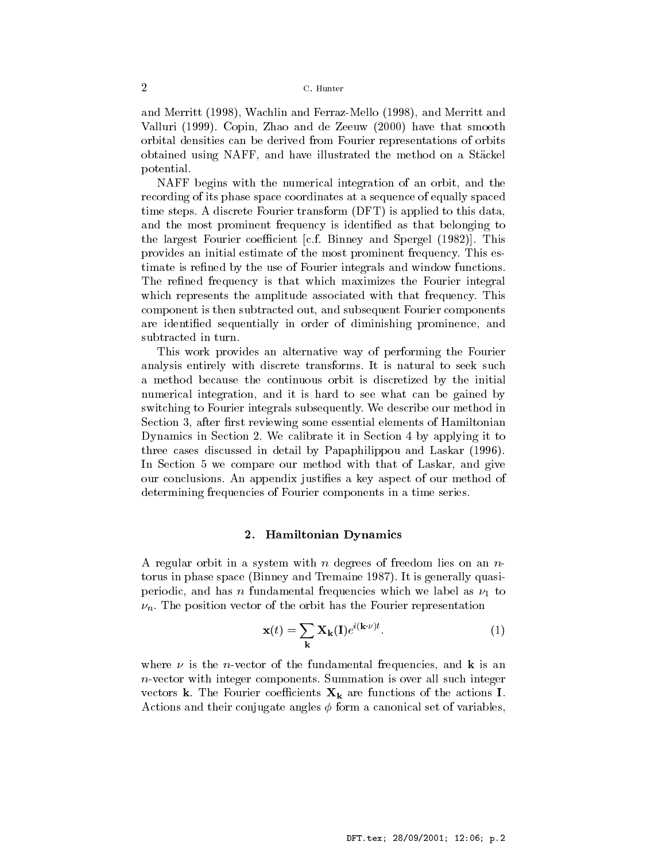and Merritt (1998), Wachlin and Ferraz-Mello (1998), and Merritt and Valluri (1999). Copin, Zhao and de Zeeuw (2000) have that smooth orbital densities can be derived from Fourier representations of orbits obtained using NAFF, and have illustrated the method on a Stackel potential.

NAFF begins with the numerical integration of an orbit, and the recording of its phase space coordinates at a sequence of equally spaced time steps. A discrete Fourier transform (DFT) is applied to this data, and the most prominent frequency is identied as that belonging to the largest Fourier coefficient  $[c.f.$  Binney and Spergel  $(1982)$ . This provides an initial estimate of the most prominent frequency. This estimate is refined by the use of Fourier integrals and window functions. The refined frequency is that which maximizes the Fourier integral which represents the amplitude associated with that frequency. This component is then subtracted out, and subsequent Fourier components are identied sequentially in order of diminishing prominence, and subtracted in turn.

This work provides an alternative way of performing the Fourier analysis entirely with discrete transforms. It is natural to seek such a method because the continuous orbit is discretized by the initial numerical integration, and it is hard to see what can be gained by switching to Fourier integrals subsequently. We describe our method in Section 3, after first reviewing some essential elements of Hamiltonian Dynamics in Section 2. We calibrate it in Section 4 by applying it to three cases discussed in detail by Papaphilippou and Laskar (1996). In Section 5 we compare our method with that of Laskar, and give our conclusions. An appendix justies a key aspect of our method of determining frequencies of Fourier components in a time series.

## 2. Hamiltonian Dynamics

A regular orbit in a system with n degrees of freedom lies on an  $n$ torus in phase space (Binney and Tremaine 1987). It is generally quasiperiodic, and has n fundamental frequencies which we label as  $\nu_1$  to  $\nu_n$ . The position vector of the orbit has the Fourier representation

$$
\mathbf{x}(t) = \sum_{\mathbf{k}} \mathbf{X}_{\mathbf{k}}(\mathbf{I}) e^{i(\mathbf{k} \cdot \boldsymbol{\nu})t}.
$$
 (1)

where  $\nu$  is the *n*-vector of the fundamental frequencies, and **k** is an n-vector with integer components. Summation is over all such integer vectors **k**. The Fourier coefficients  $X_k$  are functions of the actions **I**. Actions and their conjugate angles  $\phi$  form a canonical set of variables,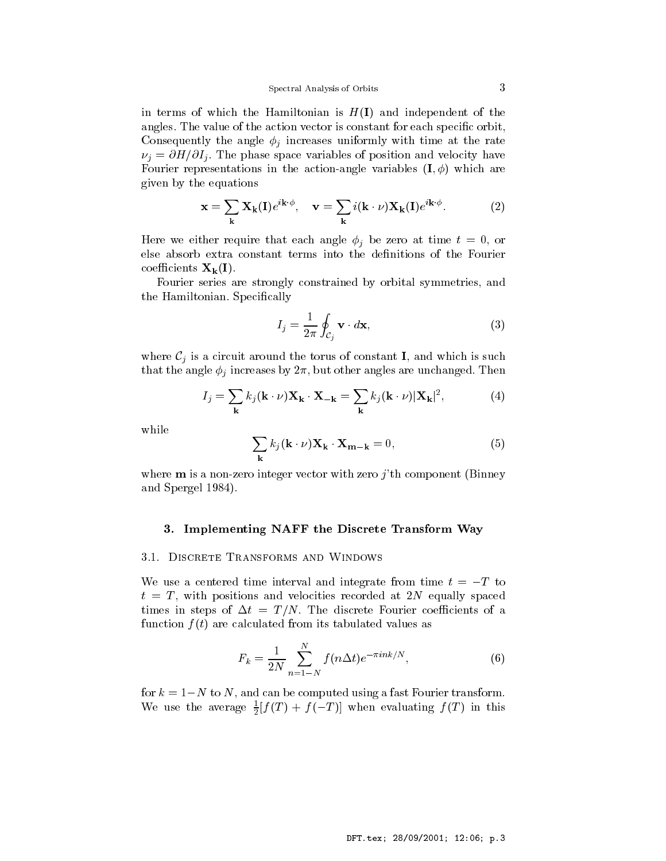in terms of which the Hamiltonian is  $H(I)$  and independent of the angles. The value of the action vector is constant for each specific orbit, Consequently the angle  $\phi_j$  increases uniformly with time at the rate  $\nu_j = \partial H/\partial I_j$ . The phase space variables of position and velocity have Fourier representations in the action-angle variables  $(I, \phi)$  which are given by the equations

$$
\mathbf{x} = \sum_{\mathbf{k}} \mathbf{X}_{\mathbf{k}}(\mathbf{I}) e^{i\mathbf{k}\cdot\phi}, \quad \mathbf{v} = \sum_{\mathbf{k}} i(\mathbf{k}\cdot\nu) \mathbf{X}_{\mathbf{k}}(\mathbf{I}) e^{i\mathbf{k}\cdot\phi}.
$$
 (2)

Here we either require that each angle  $\phi_j$  be zero at time  $t = 0$ , or else absorb extra constant terms into the denitions of the Fourier coefficients  $X_k(I)$ .

Fourier series are strongly constrained by orbital symmetries, and the Hamiltonian. Specifically

$$
I_j = \frac{1}{2\pi} \oint_{\mathcal{C}_j} \mathbf{v} \cdot d\mathbf{x},\tag{3}
$$

where  $C_j$  is a circuit around the torus of constant **I**, and which is such that the angle  $\phi_j$  increases by  $2\pi$ , but other angles are unchanged. Then

$$
I_j = \sum_{\mathbf{k}} k_j (\mathbf{k} \cdot \nu) \mathbf{X}_{\mathbf{k}} \cdot \mathbf{X}_{-\mathbf{k}} = \sum_{\mathbf{k}} k_j (\mathbf{k} \cdot \nu) |\mathbf{X}_{\mathbf{k}}|^2,
$$
 (4)

while

$$
\sum_{\mathbf{k}} k_j (\mathbf{k} \cdot \nu) \mathbf{X}_{\mathbf{k}} \cdot \mathbf{X}_{\mathbf{m}-\mathbf{k}} = 0, \tag{5}
$$

where **m** is a non-zero integer vector with zero j'th component (Binney and Spergel 1984).

### 3. Implementing NAFF the Discrete Transform Way

# 3.1. Discrete Transforms and Windows

We use a centered time interval and integrate from time  $t = -T$  to  $t = T$ , with positions and velocities recorded at 2N equally spaced times in steps of  $\Delta t = T/N$ . The discrete Fourier coefficients of a function  $f(t)$  are calculated from its tabulated values as

$$
F_k = \frac{1}{2N} \sum_{n=1-N}^{N} f(n\Delta t) e^{-\pi i n k/N},
$$
\n(6)

for  $k = 1-N$  to N, and can be computed using a fast Fourier transform. We use the average  $\frac{1}{2}[f(T) + f(-T)]$  when evaluating  $f(T)$  in this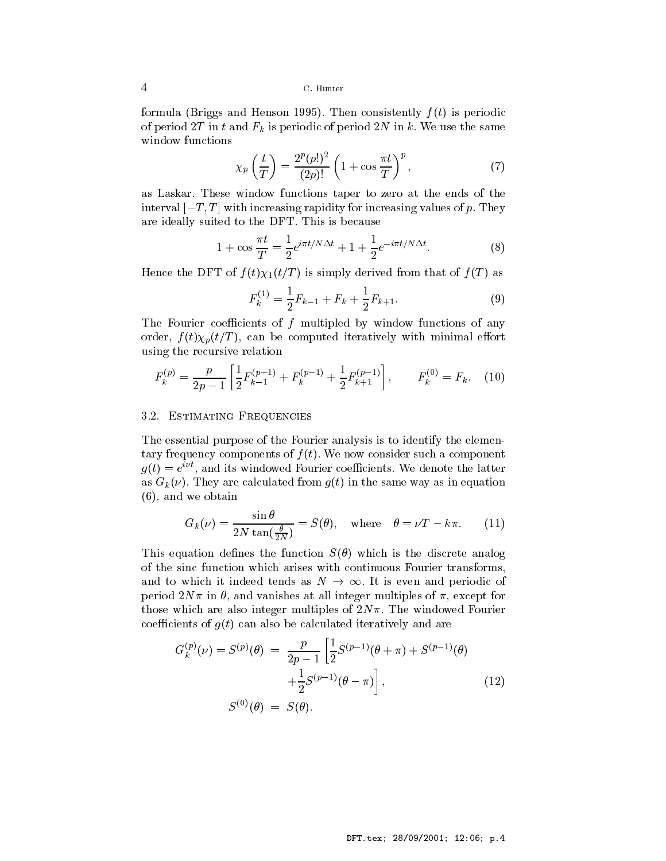formula (Briggs and Henson 1995). Then consistently  $f(t)$  is periodic of period  $2T$  in t and  $F_k$  is periodic of period  $2N$  in k. We use the same window functions

$$
\chi_p\left(\frac{t}{T}\right) = \frac{2^p (p!)^2}{(2p)!} \left(1 + \cos\frac{\pi t}{T}\right)^p,\tag{7}
$$

as Laskar. These window functions taper to zero at the ends of the interval  $[-T,T]$  with increasing rapidity for increasing values of p. They are ideally suited to the DFT. This is because

$$
1 + \cos \frac{\pi t}{T} = \frac{1}{2} e^{i\pi t/N\Delta t} + 1 + \frac{1}{2} e^{-i\pi t/N\Delta t}.
$$
 (8)

Hence the DFT of  $f(t)\chi_1(t/T)$  is simply derived from that of  $f(T)$  as

$$
F_k^{(1)} = \frac{1}{2}F_{k-1} + F_k + \frac{1}{2}F_{k+1}.
$$
\n(9)

The Fourier coefficients of  $f$  multipled by window functions of any order,  $f(t)\chi_p(t/T)$ , can be computed iteratively with minimal effort using the recursive relation

$$
F_k^{(p)} = \frac{p}{2p-1} \left[ \frac{1}{2} F_{k-1}^{(p-1)} + F_k^{(p-1)} + \frac{1}{2} F_{k+1}^{(p-1)} \right], \qquad F_k^{(0)} = F_k. \tag{10}
$$

#### $3.2.$ ESTIMATING FREQUENCIES

The essential purpose of the Fourier analysis is to identify the elementary frequency components of  $f(t)$ . We now consider such a component  $q(t) = e^{\pi t}$ , and its windowed Fourier coefficients. We denote the latter as  $G_k(\nu)$ . They are calculated from  $g(t)$  in the same way as in equation (6), and we obtain

$$
G_k(\nu) = \frac{\sin \theta}{2N \tan(\frac{\theta}{2N})} = S(\theta), \quad \text{where} \quad \theta = \nu T - k\pi. \tag{11}
$$

This equation defines the function  $S(\theta)$  which is the discrete analog of the sinc function which arises with continuous Fourier transforms, and to which it indeed tends as  $N \to \infty$ . It is even and periodic of period  $2N\pi$  in  $\theta$ , and vanishes at all integer multiples of  $\pi$ , except for those which are also integer multiples of  $2N\pi$ . The windowed Fourier coefficients of  $g(t)$  can also be calculated iteratively and are

$$
G_k^{(p)}(\nu) = S^{(p)}(\theta) = \frac{p}{2p-1} \left[ \frac{1}{2} S^{(p-1)}(\theta + \pi) + S^{(p-1)}(\theta) + \frac{1}{2} S^{(p-1)}(\theta - \pi) \right],
$$
(12)  

$$
S^{(0)}(\theta) = S(\theta).
$$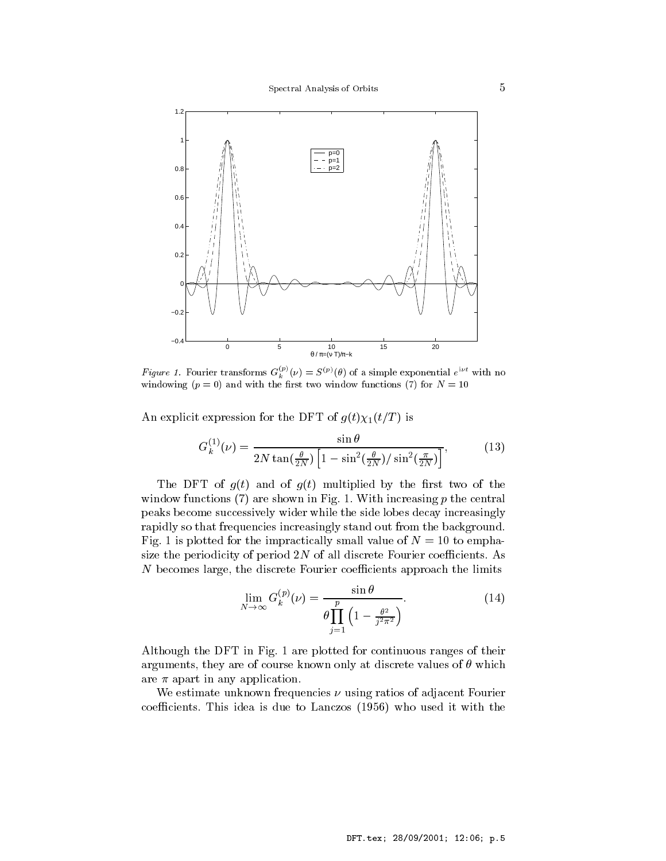

Figure 1. Fourier transforms  $G_k^{(p)}(v) = S^{(p)}(\theta)$  of a simple exponential  $e^{iv}$  with no windowing  $(p = 0)$  and with the first two window functions (7) for  $N = 10$ 

An explicit expression for the DFT of  $g(t)\chi_1(t/T)$  is

$$
G_k^{(1)}(\nu) = \frac{\sin \theta}{2N \tan(\frac{\theta}{2N}) \left[1 - \sin^2(\frac{\theta}{2N}) / \sin^2(\frac{\pi}{2N})\right]},
$$
(13)

The DFT of  $g(t)$  and of  $g(t)$  multiplied by the first two of the window functions  $(7)$  are shown in Fig. 1. With increasing p the central peaks become successively wider while the side lobes decay increasingly rapidly so that frequencies increasingly stand out from the background. Fig. 1 is plotted for the impractically small value of  $N = 10$  to emphasize the periodicity of period  $2N$  of all discrete Fourier coefficients. As  $N$  becomes large, the discrete Fourier coefficients approach the limits

$$
\lim_{N \to \infty} G_k^{(p)}(\nu) = \frac{\sin \theta}{\theta \prod_{j=1}^p \left(1 - \frac{\theta^2}{j^2 \pi^2}\right)}.
$$
\n(14)

Although the DFT in Fig. 1 are plotted for continuous ranges of their arguments, they are of course known only at discrete values of  $\theta$  which are  $\pi$  apart in any application.

We estimate unknown frequencies  $\nu$  using ratios of adjacent Fourier coefficients. This idea is due to Lanczos (1956) who used it with the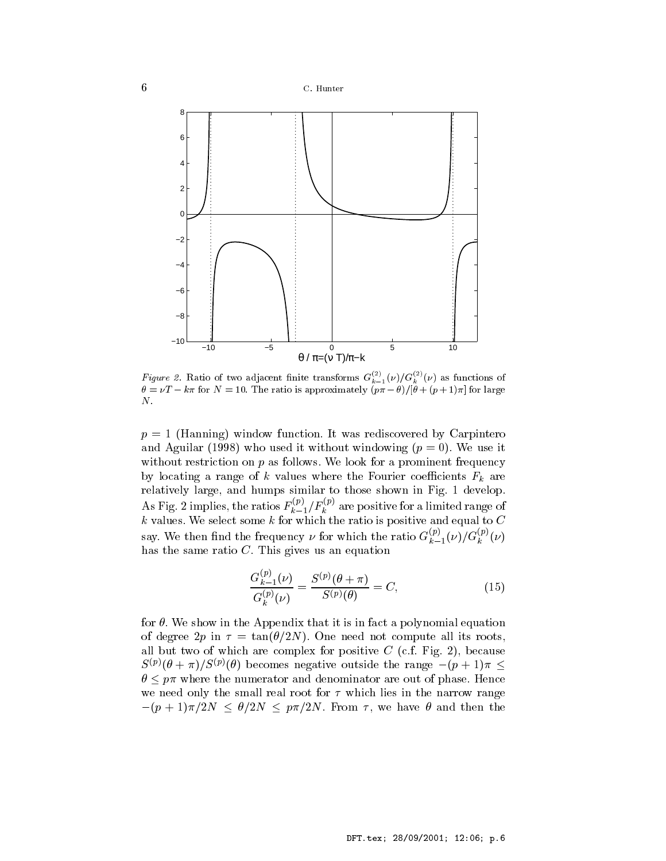

Figure 2. Ratio of two adjacent finite transforms  $G_{k-1}^{(-)}(\nu)/G_{k}^{(-)}(\nu)$  as functions of  $\mathbf{r} = \mathbf{r} = \mathbf{r}$  for the ratio is a set of the ratio is approximately (p  $\mathbf{r} = \mathbf{r}$ ) for  $\mathbf{r} = \mathbf{r}$  ,  $\mathbf{r} = \mathbf{r}$ N.

 $p = 1$  (Hanning) window function. It was rediscovered by Carpintero and Aguilar (1998) who used it without windowing  $(p = 0)$ . We use it without restriction on  $p$  as follows. We look for a prominent frequency by locating a range of k values where the Fourier coefficients  $F_k$  are relatively large, and humps similar to those shown in Fig.1 develop. As Fig. 2 implies, the ratios  $F_{k-1}^{\omega} / F_k^{\omega}$  are positive for a limited range of k values. We select some k for which the ratio is positive and equal to C say. We then find the frequency  $\nu$  for which the ratio  $G_{k-1}^{(\nu)}(\nu)/G_{k}^{(\nu)}(\nu)$ has the same ratio C. This gives us an equation

$$
\frac{G_{k-1}^{(p)}(\nu)}{G_k^{(p)}(\nu)} = \frac{S^{(p)}(\theta + \pi)}{S^{(p)}(\theta)} = C,\tag{15}
$$

for  $\theta$ . We show in the Appendix that it is in fact a polynomial equation of degree  $2p$  in  $\tau = \tan(\theta/2N)$ . One need not compute all its roots, all but two of which are complex for positive  $C$  (c.f. Fig. 2), because  $S^{(p)}(\theta + \pi)/S^{(p)}(\theta)$  becomes negative outside the range  $-(p + 1)\pi \leq$  $\theta \leq p\pi$  where the numerator and denominator are out of phase. Hence we need only the small real root for  $\tau$  which lies in the narrow range  $-(p + 1)\pi/2N \leq \theta/2N \leq p\pi/2N$ . From  $\tau$ , we have  $\theta$  and then the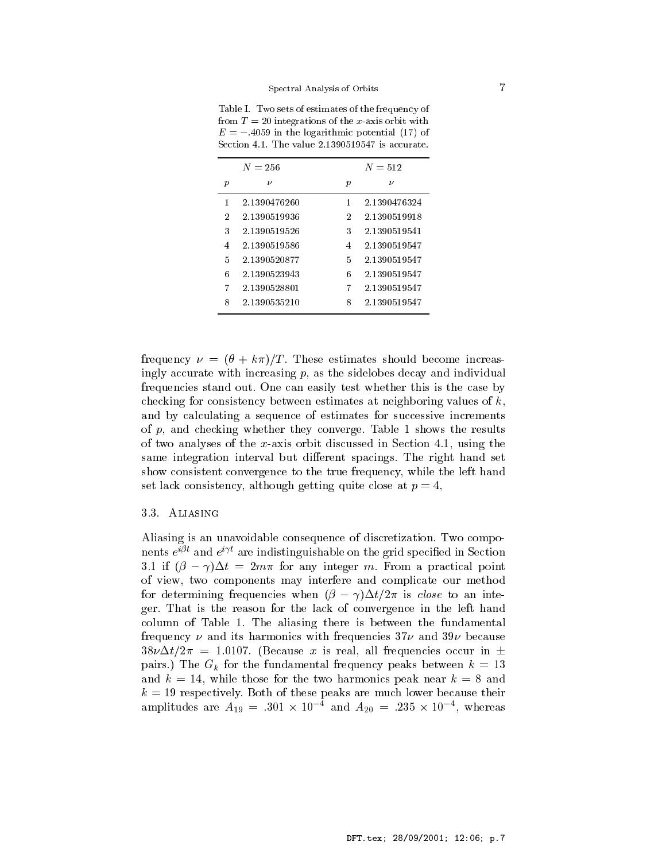Table I. Two sets of estimates of the frequency of from  $T = 20$  integrations of the x-axis orbit with  $E = -.4059$  in the logarithmic potential (17) of Section 4.1. The value 2.1390519547 is accurate.

|   | $N = 256$    |   | $N = 512$    |  |  |  |
|---|--------------|---|--------------|--|--|--|
| р | ν            | р | ν            |  |  |  |
| 1 | 2.1390476260 | 1 | 2.1390476324 |  |  |  |
| 2 | 2.1390519936 | 2 | 2.1390519918 |  |  |  |
| 3 | 2.1390519526 | 3 | 2.1390519541 |  |  |  |
| 4 | 2.1390519586 | 4 | 2.1390519547 |  |  |  |
| 5 | 2.1390520877 | 5 | 2.1390519547 |  |  |  |
| 6 | 2.1390523943 | 6 | 2.1390519547 |  |  |  |
| 7 | 2.1390528801 | 7 | 2.1390519547 |  |  |  |
| 8 | 2.1390535210 | 8 | 2.1390519547 |  |  |  |

frequency  $\nu = (\theta + k\pi)/T$ . These estimates should become increasingly accurate with increasing  $p$ , as the sidelobes decay and individual frequencies stand out. One can easily test whether this is the case by checking for consistency between estimates at neighboring values of  $k$ , and by calculating a sequence of estimates for successive increments of  $p$ , and checking whether they converge. Table 1 shows the results of two analyses of the x-axis orbit discussed in Section 4.1, using the same integration interval but different spacings. The right hand set show consistent convergence to the true frequency, while the left hand set lack consistency, although getting quite close at  $p = 4$ ,

# 3.3. Aliasing

Aliasing is an unavoidable consequence of discretization. Two compo- $\mathbf{n}$ ents  $e^{i\varphi\cdot\mathbf{r}}$  and  $e^{i\varphi\cdot\mathbf{r}}$  are must ingular specified in an  $\mathbf{n}$  section 3.1 if  $(\beta - \gamma)\Delta t = 2m\pi$  for any integer m. From a practical point of view, two components may interfere and complicate our method for determining frequencies when  $(\beta - \gamma)\Delta t/2\pi$  is *close* to an integer. That is the reason for the lack of convergence in the left hand column of Table 1. The aliasing there is between the fundamental frequency  $\nu$  and its harmonics with frequencies  $37\nu$  and  $39\nu$  because  $38\nu\Delta t/2\pi = 1.0107$ . (Because x is real, all frequencies occur in  $\pm$ pairs.) The  $G_k$  for the fundamental frequency peaks between  $k = 13$ and  $k = 14$ , while those for the two harmonics peak near  $k = 8$  and  $k = 19$  respectively. Both of these peaks are much lower because their amplitudes are  $A_{19} = .301 \times 10^{-4}$  and  $A_{20} = .235 \times 10^{-4}$ , whereas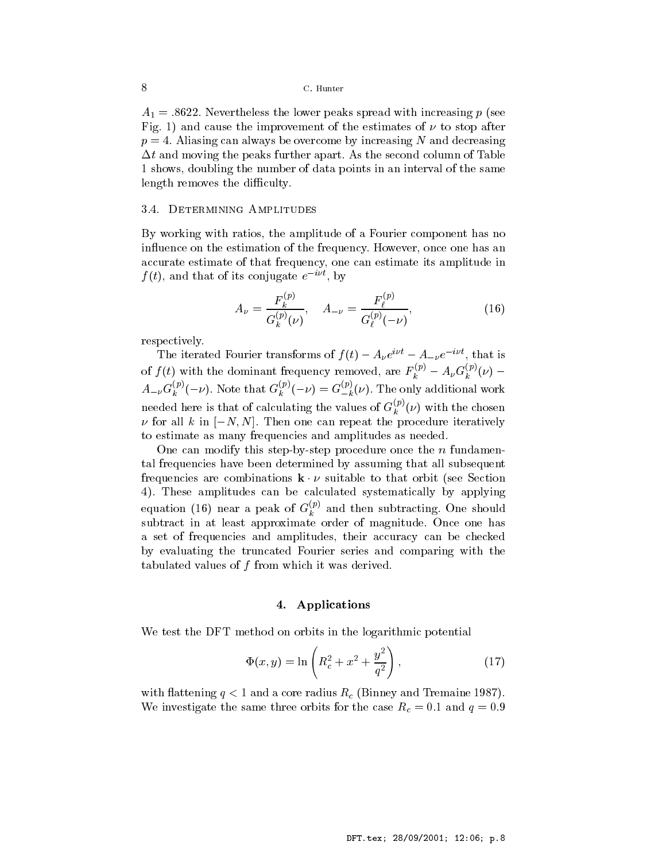$A_1 = .8622$ . Nevertheless the lower peaks spread with increasing p (see Fig. 1) and cause the improvement of the estimates of  $\nu$  to stop after  $p = 4$ . Aliasing can always be overcome by increasing N and decreasing  $\Delta t$  and moving the peaks further apart. As the second column of Table 1 shows, doubling the number of data points in an interval of the same length removes the difficulty.

# 3.4. Determining Amplitudes

By working with ratios, the amplitude of a Fourier component has no influence on the estimation of the frequency. However, once one has an accurate estimate of that frequency, one can estimate its amplitude in  $f(t)$ , and that of its conjugate  $e^{-i\nu t}$ , by

$$
A_{\nu} = \frac{F_k^{(p)}}{G_k^{(p)}(\nu)}, \quad A_{-\nu} = \frac{F_\ell^{(p)}}{G_\ell^{(p)}(-\nu)},\tag{16}
$$

respectively.

The iterated Fourier transforms of  $f(t) = A_{\nu}e^{\nu t} = A_{-\nu}e^{-\nu t}$ , that is of  $f(t)$  with the dominant frequency removed, are  $F_k^{\alpha\beta} = A_\nu G_k^{\alpha\beta}(\nu)$  $A_{-\nu}G_k^{(p)}(-\nu)$ . Note that  $G_k^{(p)}(-\nu)=G_{-k}^{(p)}(\nu).$  The only additional work needed here is that of calculating the values of  $G_h^{\alpha\beta}(\nu)$  with the chosen  $\nu$  for all k in  $[-N,N]$ . Then one can repeat the procedure iteratively to estimate as many frequencies and amplitudes as needed.

One can modify this step-by-step procedure once the  $n$  fundamental frequencies have been determined by assuming that all subsequent frequencies are combinations  $\mathbf{k} \cdot \nu$  suitable to that orbit (see Section 4). These amplitudes can be calculated systematically by applying equation (16) near a peak of  $G_k^{(p)}$  and then subtracting. One should subtract in at least approximate order of magnitude. Once one has a set of frequencies and amplitudes, their accuracy can be checked by evaluating the truncated Fourier series and comparing with the tabulated values of f from which it was derived.

# 4. Applications

We test the DFT method on orbits in the logarithmic potential

$$
\Phi(x, y) = \ln \left( R_c^2 + x^2 + \frac{y^2}{q^2} \right),\tag{17}
$$

with flattening  $q < 1$  and a core radius  $R_c$  (Binney and Tremaine 1987). We investigate the same three orbits for the case  $R_c = 0.1$  and  $q = 0.9$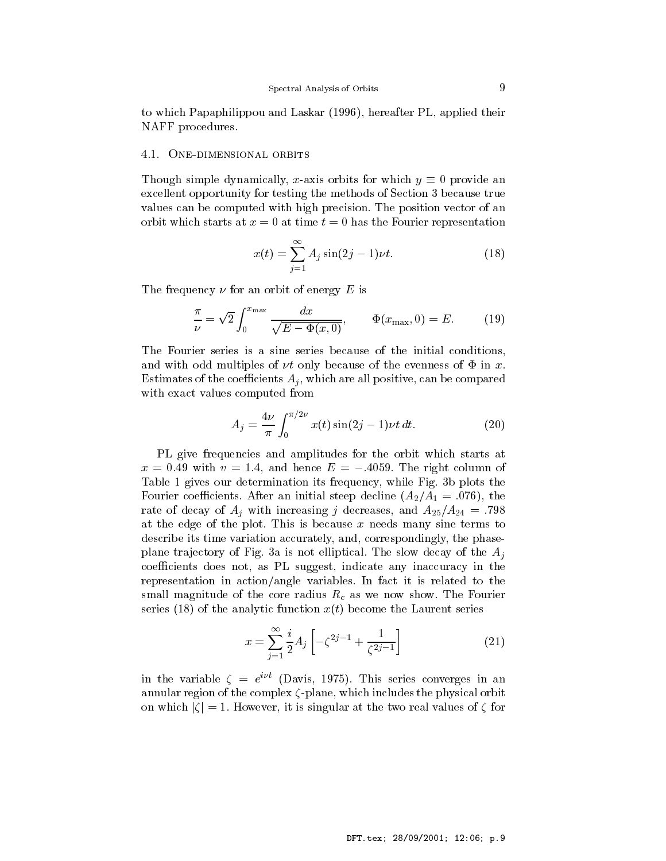to which Papaphilippou and Laskar (1996), hereafter PL, applied their NAFF procedures.

### 4.1. One-dimensional orbits

Though simple dynamically, x-axis orbits for which  $y \equiv 0$  provide an excellent opportunity for testing the methods of Section 3 because true values can be computed with high precision. The position vector of an orbit which starts at  $x = 0$  at time  $t = 0$  has the Fourier representation

$$
x(t) = \sum_{j=1}^{\infty} A_j \sin(2j - 1)\nu t.
$$
 (18)

The frequency  $\nu$  for an orbit of energy E is

$$
\frac{\pi}{\nu} = \sqrt{2} \int_0^{x_{\text{max}}} \frac{dx}{\sqrt{E - \Phi(x, 0)}}, \qquad \Phi(x_{\text{max}}, 0) = E. \tag{19}
$$

The Fourier series is a sine series because of the initial conditions, and with odd multiples of  $\nu t$  only because of the evenness of  $\Phi$  in x. Estimates of the coefficients  $A_i$ , which are all positive, can be compared with exact values computed from

$$
A_j = \frac{4\nu}{\pi} \int_0^{\pi/2\nu} x(t) \sin(2j - 1)\nu t \, dt. \tag{20}
$$

PL give frequencies and amplitudes for the orbit which starts at  $x = 0.49$  with  $v = 1.4$ , and hence  $E = -.4059$ . The right column of Table 1 gives our determination its frequency, while Fig. 3b plots the Fourier coefficients. After an initial steep decline  $(A_2/A_1 = .076)$ , the rate of decay of  $A_i$  with increasing j decreases, and  $A_{25}/A_{24} = .798$ at the edge of the plot. This is because  $x$  needs many sine terms to describe its time variation accurately, and, correspondingly, the phaseplane trajectory of Fig. 3a is not elliptical. The slow decay of the  $A_i$ coefficients does not, as PL suggest, indicate any inaccuracy in the representation in action/angle variables. In fact it is related to the small magnitude of the core radius  $R_c$  as we now show. The Fourier series (18) of the analytic function  $x(t)$  become the Laurent series

$$
x = \sum_{j=1}^{\infty} \frac{i}{2} A_j \left[ -\zeta^{2j-1} + \frac{1}{\zeta^{2j-1}} \right]
$$
 (21)

in the variable  $\zeta = e^{i\tau}$  (Davis, 1975). This series converges in an annular region of the complex  $\zeta$ -plane, which includes the physical orbit on which  $|\zeta| = 1$ . However, it is singular at the two real values of  $\zeta$  for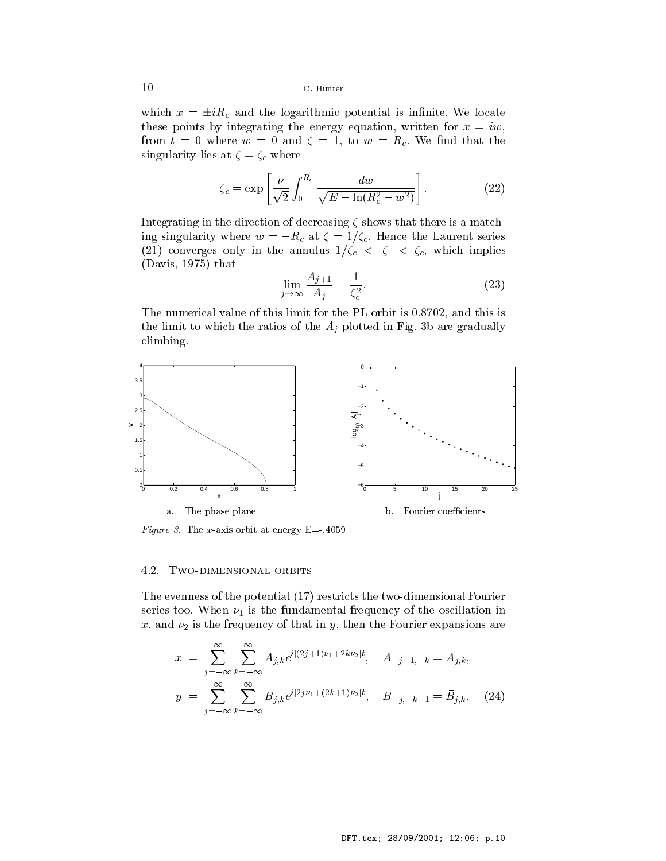which  $x = \pm iR_c$  and the logarithmic potential is infinite. We locate these points by integrating the energy equation, written for  $x = iw$ , from  $t = 0$  where  $w = 0$  and  $\zeta = 1$ , to  $w = R_c$ . We find that the singularity lies at  $\zeta = \zeta_c$  where

$$
\zeta_c = \exp\left[\frac{\nu}{\sqrt{2}} \int_0^{R_c} \frac{dw}{\sqrt{E - \ln(R_c^2 - w^2)}}\right].
$$
\n(22)

Integrating in the direction of decreasing  $\zeta$  shows that there is a matching singularity where  $w = -R_c$  at  $\zeta = 1/\zeta_c$ . Hence the Laurent series (21) converges only in the annulus  $1/\zeta_c < |\zeta| < \zeta_c$ , which implies (Davis, 1975) that

$$
\lim_{j \to \infty} \frac{A_{j+1}}{A_j} = \frac{1}{\zeta_c^2}.
$$
\n(23)

The numerical value of this limit for the PL orbit is 0:8702, and this is the limit to which the ratios of the  $A_j$  plotted in Fig. 3b are gradually climbing.



Figure 3. The x-axis orbit at energy  $E = -4059$ 

### 4.2. Two-dimensional orbits

The evenness of the potential (17) restricts the two-dimensional Fourier series too. When  $\nu_1$  is the fundamental frequency of the oscillation in x, and  $\nu_2$  is the frequency of that in y, then the Fourier expansions are

$$
x = \sum_{j=-\infty}^{\infty} \sum_{k=-\infty}^{\infty} A_{j,k} e^{i[(2j+1)\nu_1 + 2k\nu_2]t}, \quad A_{-j-1,-k} = \bar{A}_{j,k},
$$
  

$$
y = \sum_{j=-\infty}^{\infty} \sum_{k=-\infty}^{\infty} B_{j,k} e^{i[2j\nu_1 + (2k+1)\nu_2]t}, \quad B_{-j,-k-1} = \bar{B}_{j,k}.
$$
 (24)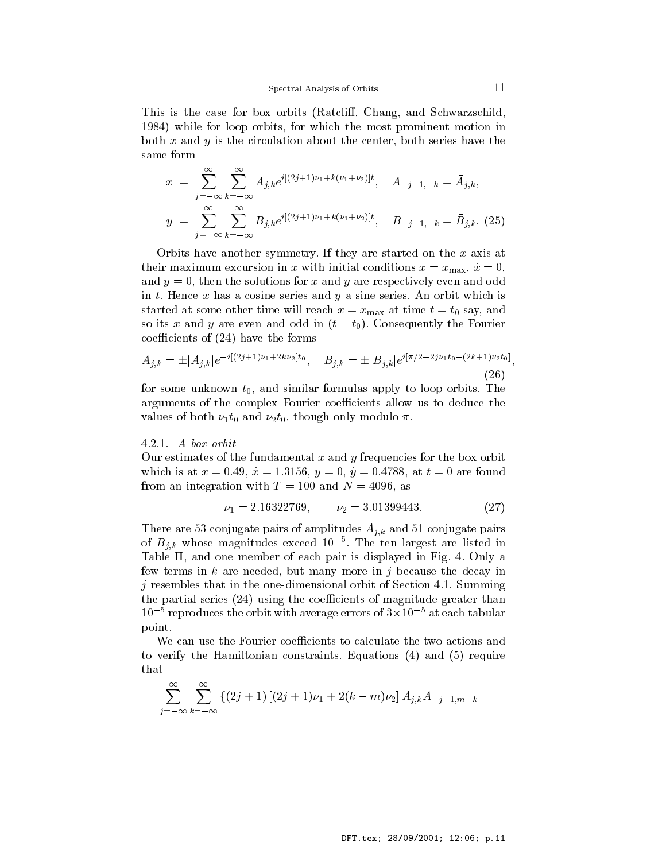This is the case for box orbits (Ratcliff, Chang, and Schwarzschild, 1984) while for loop orbits, for which the most prominent motion in both x and y is the circulation about the center, both series have the same form

$$
x = \sum_{j=-\infty}^{\infty} \sum_{k=-\infty}^{\infty} A_{j,k} e^{i[(2j+1)\nu_1 + k(\nu_1 + \nu_2)]t}, \quad A_{-j-1,-k} = \bar{A}_{j,k},
$$
  

$$
y = \sum_{j=-\infty}^{\infty} \sum_{k=-\infty}^{\infty} B_{j,k} e^{i[(2j+1)\nu_1 + k(\nu_1 + \nu_2)]t}, \quad B_{-j-1,-k} = \bar{B}_{j,k}.
$$
 (25)

Orbits have another symmetry. If they are started on the x-axis at their maximum excursion in x with initial conditions  $x = x_{\text{max}}$ ,  $\dot{x} = 0$ , and  $y = 0$ , then the solutions for x and y are respectively even and odd in t. Hence x has a cosine series and y a sine series. An orbit which is started at some other time will reach  $x = x_{\text{max}}$  at time  $t = t_0$  say, and so its x and y are even and odd in  $(t - t_0)$ . Consequently the Fourier coefficients of  $(24)$  have the forms

$$
A_{j,k} = \pm |A_{j,k}|e^{-i[(2j+1)\nu_1 + 2k\nu_2]t_0}, \quad B_{j,k} = \pm |B_{j,k}|e^{i[\pi/2 - 2j\nu_1t_0 - (2k+1)\nu_2t_0]},
$$
\n(26)

for some unknown  $t_0$ , and similar formulas apply to loop orbits. The arguments of the complex Fourier coefficients allow us to deduce the values of both  $\nu_1 t_0$  and  $\nu_2 t_0$ , though only modulo  $\pi$ .

# 4.2.1. A box orbit

Our estimates of the fundamental  $x$  and  $y$  frequencies for the box orbit which is at  $x = 0.49$ ,  $\dot{x} = 1.3156$ ,  $y = 0$ ,  $\dot{y} = 0.4788$ , at  $t = 0$  are found from an integration with  $T = 100$  and  $N = 4096$ , as

$$
\nu_1 = 2.16322769, \qquad \nu_2 = 3.01399443. \tag{27}
$$

There are 53 conjugate pairs of amplitudes  $A_{i,k}$  and 51 conjugate pairs of  $B_{j,k}$  whose magnitudes exceed to  $\tilde{\ }$ . The ten largest are listed in Table II, and one member of each pair is displayed in Fig.4. Only a few terms in k are needed, but many more in j because the decay in  $j$  resembles that in the one-dimensional orbit of Section 4.1. Summing the partial series  $(24)$  using the coefficients of magnitude greater than 10  $\degree$  reproduces the orbit with average errors of 3 $\times$ 10  $\degree$  at each tabular point.

We can use the Fourier coefficients to calculate the two actions and to verify the Hamiltonian constraints. Equations (4) and (5) require that

$$
\sum_{j=-\infty}^{\infty} \sum_{k=-\infty}^{\infty} \left\{ (2j+1) \left[ (2j+1)\nu_1 + 2(k-m)\nu_2 \right] A_{j,k} A_{-j-1,m-k} \right\}
$$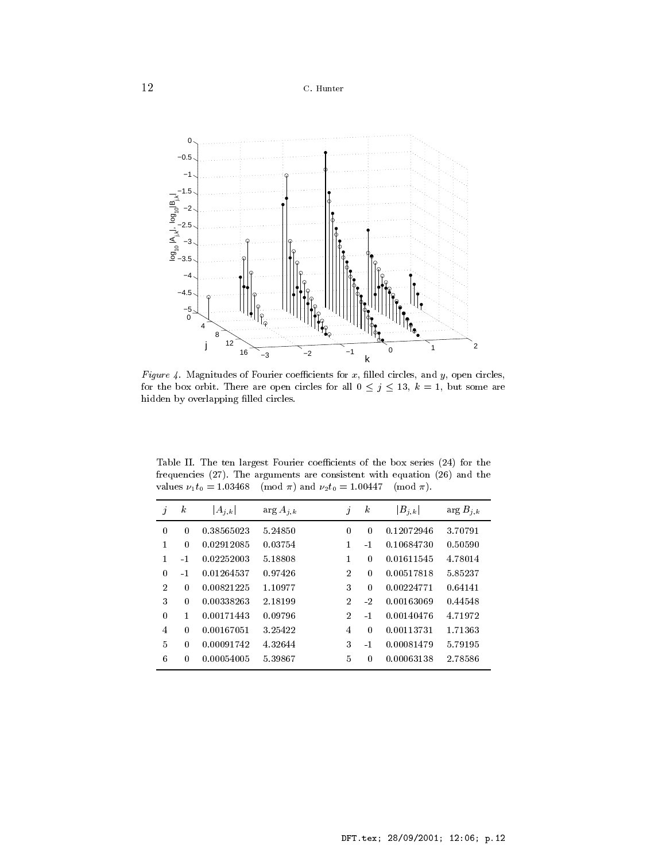

Figure 4. Magnitudes of Fourier coecients for x, lled circles, and y, open circles, for the box orbit. There are open circles for all 0 j 13,k = 1, but some are hidden by overlapping filled circles.

|                |          | $-00 - 00$  | $\frac{1}{2}$  |                |                  |             |                |
|----------------|----------|-------------|----------------|----------------|------------------|-------------|----------------|
| $\dot{j}$      | $_{k}$   | $ A_{j,k} $ | $\arg A_{j,k}$ | İ              | $\boldsymbol{k}$ | $ B_{j,k} $ | $\arg B_{j,k}$ |
| $\theta$       | $\theta$ | 0.38565023  | 5.24850        | $\theta$       | $\Omega$         | 0.12072946  | 3.70791        |
| 1              | $\Omega$ | 0.02912085  | 0.03754        | 1              | $-1$             | 0.10684730  | 0.50590        |
| 1              | $-1$     | 0.02252003  | 5.18808        | 1              | $\Omega$         | 0.01611545  | 4.78014        |
| $\theta$       | $-1$     | 0.01264537  | 0.97426        | $\overline{2}$ | $\theta$         | 0.00517818  | 5.85237        |
| $\overline{2}$ | $\Omega$ | 0.00821225  | 1.10977        | 3              | $\Omega$         | 0.00224771  | 0.64141        |
| 3              | $\Omega$ | 0.00338263  | 2.18199        | $\overline{2}$ | $-2$             | 0.00163069  | 0.44548        |
| $\theta$       | 1        | 0.00171443  | 0.09796        | $\overline{2}$ | $-1$             | 0.00140476  | 4.71972        |
| $\overline{4}$ | $\Omega$ | 0.00167051  | 3.25422        | $\overline{4}$ | $\Omega$         | 0.00113731  | 1.71363        |
| 5              | $\Omega$ | 0.00091742  | 4.32644        | 3              | $-1$             | 0.00081479  | 5.79195        |
| 6              | $\theta$ | 0.00054005  | 5.39867        | 5              | $\Omega$         | 0.00063138  | 2.78586        |
|                |          |             |                |                |                  |             |                |

Table II. The ten largest Fourier coefficients of the box series (24) for the frequencies (27). The arguments are consistent with equation (26) and the values  $\nu_1 t_0 = 1.03468 \pmod{\pi}$  and  $\nu_2 t_0 = 1.00447 \pmod{\pi}$ .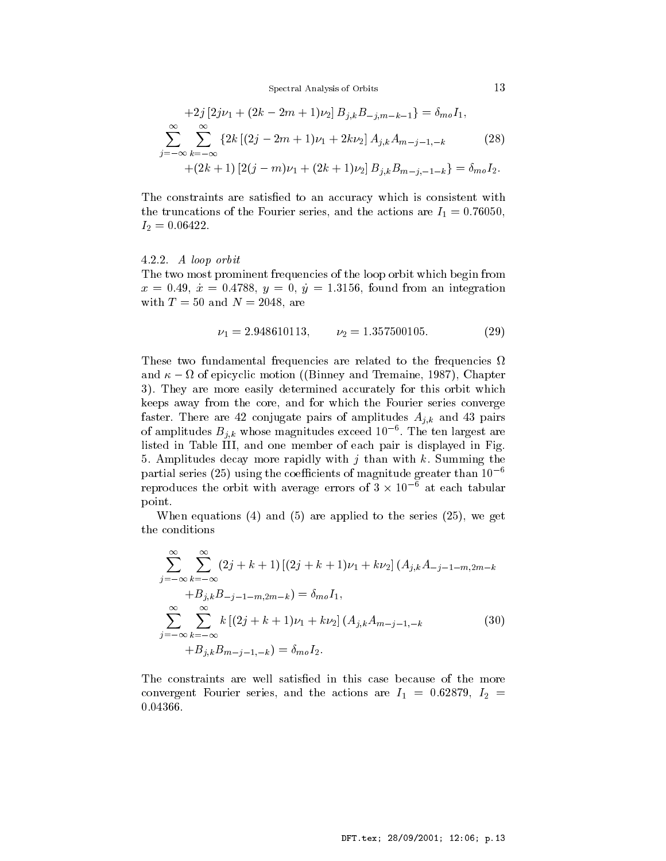Spectral Analysis of Orbits 13

$$
+2j[2j\nu_{1} + (2k - 2m + 1)\nu_{2}] B_{j,k} B_{-j,m-k-1} = \delta_{mo} I_{1},
$$
  
\n
$$
\sum_{j=-\infty}^{\infty} \sum_{k=-\infty}^{\infty} \left\{ 2k \left[ (2j - 2m + 1)\nu_{1} + 2k\nu_{2} \right] A_{j,k} A_{m-j-1,-k} \right\} - (28)
$$
  
\n
$$
+ (2k + 1) [2(j - m)\nu_{1} + (2k + 1)\nu_{2}] B_{j,k} B_{m-j,-1-k} = \delta_{mo} I_{2}.
$$

The constraints are satisfied to an accuracy which is consistent with the truncations of the Fourier series, and the actions are  $I_1 = 0.76050$ ,  $I_2 = 0.06422$ .

#### 4.2.2. A loop orbit

The two most prominent frequencies of the loop orbit which begin from  $x = 0.49, \dot{x} = 0.4788, y = 0, \dot{y} = 1.3156,$  found from an integration with  $T = 50$  and  $N = 2048$ , are

$$
\nu_1 = 2.948610113, \qquad \nu_2 = 1.357500105. \tag{29}
$$

These two fundamental frequencies are related to the frequencies  $\Omega$ and  $\kappa = 32$  of epicyclic motion ((Dimite) and Tremaine, 1987), Chapter 3). They are more easily determined accurately for this orbit which keeps away from the core, and for which the Fourier series converge faster. There are <sup>42</sup> conjugate pairs of amplitudes Aj;k and <sup>43</sup> pairs of amplitudes  $D_{j,k}$  whose magnitudes exceed 10  $\degree$  . The ten largest are listed in Table III, and one member of each pair is displayed in Fig. 5. Amplitudes decay more rapidly with  $j$  than with  $k$ . Summing the partial series (25) using the coefficients of magnitude greater than  $10^{-6}$ reproduces the orbit with average errors of  $3 \times 10^{-6}$  at each tabular point.

When equations (4) and (5) are applied to the series (25), we get the conditions

$$
\sum_{j=-\infty}^{\infty} \sum_{k=-\infty}^{\infty} (2j + k + 1) [(2j + k + 1)\nu_1 + k\nu_2] (A_{j,k}A_{-j-1-m,2m-k} + B_{j,k}B_{-j-1-m,2m-k}) = \delta_{mo} I_1, \sum_{j=-\infty}^{\infty} \sum_{k=-\infty}^{\infty} k [(2j + k + 1)\nu_1 + k\nu_2] (A_{j,k}A_{m-j-1,-k} + B_{j,k}B_{m-j-1,-k}) = \delta_{mo} I_2.
$$
\n(30)

The constraints are well satisfied in this case because of the more convergent Fourier series, and the actions are  $I_1 = 0.62879, I_2 =$ 0:04366.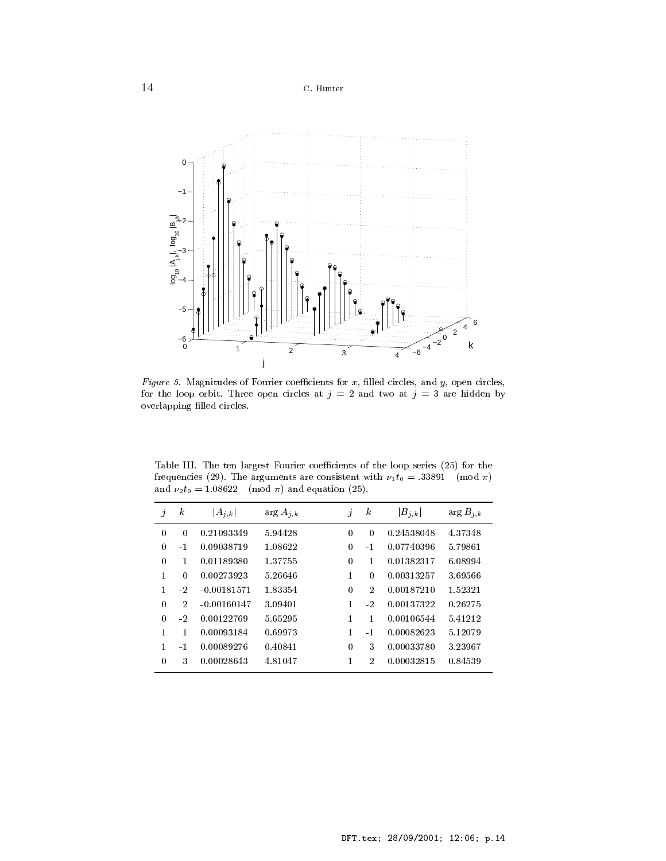

Figure 5. Magnitudes of Fourier coefficients for  $x$ , filled circles, and  $y$ , open circles, for the loop orbit. Three open circles at  $j = 2$  and two at  $j = 3$  are hidden by overlapping filled circles.

Table III. The ten largest Fourier coefficients of the loop series (25) for the frequencies (29). The arguments are consistent with  $\nu_1t_0 = .33891 \pmod{\pi}$ and  $\nu_2 t_0 = 1.08622 \pmod{\pi}$  and equation (25).

| $\overline{\boldsymbol{\eta}}$ | $\boldsymbol{k}$ | $ A_{j,k} $   | $\arg A_{j,k}$ | $\overline{\boldsymbol{\eta}}$ | $\boldsymbol{k}$ | $B_{j,k}$  | $\arg B_{i,k}$ |
|--------------------------------|------------------|---------------|----------------|--------------------------------|------------------|------------|----------------|
| $\mathbf 0$                    | $\Omega$         | 0.21093349    | 5.94428        | $\theta$                       | $\theta$         | 0.24538048 | 4.37348        |
| $\theta$                       | $-1$             | 0.09038719    | 1.08622        | $\theta$                       | $-1$             | 0.07740396 | 5.79861        |
| $\theta$                       | 1                | 0.01189380    | 1.37755        | $\theta$                       | 1                | 0.01382317 | 6.08994        |
| 1                              | $\Omega$         | 0.00273923    | 5.26646        | 1                              | $\theta$         | 0.00313257 | 3.69566        |
| 1                              | $-2$             | $-0.00181571$ | 1.83354        | $\theta$                       | $\overline{2}$   | 0.00187210 | 1.52321        |
| $\theta$                       | $\overline{2}$   | $-0.00160147$ | 3.09401        |                                | $-2$             | 0.00137322 | 0.26275        |
| $\theta$                       | $-2$             | 0.00122769    | 5.65295        | 1                              | 1                | 0.00106544 | 5.41212        |
| 1                              | 1                | 0.00093184    | 0.69973        | 1                              | $-1$             | 0.00082623 | 5.12079        |
| 1                              | $-1$             | 0.00089276    | 0.40841        | $\theta$                       | 3                | 0.00033780 | 3.23967        |
| $\Omega$                       | 3                | 0.00028643    | 4.81047        | 1                              | $\mathfrak{D}$   | 0.00032815 | 0.84539        |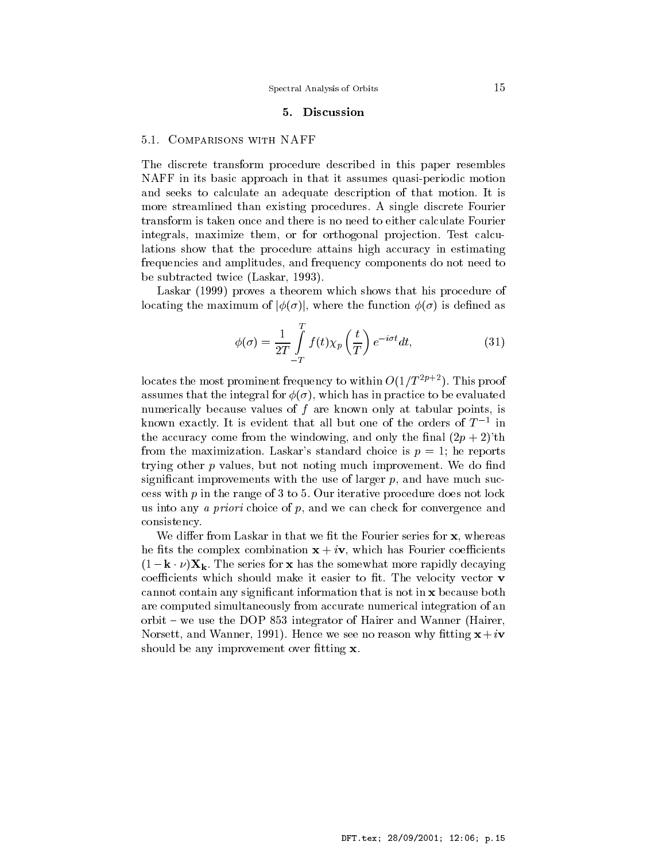# 5. Discussion

#### 5.1. Comparisons with NAFF

The discrete transform procedure described in this paper resembles NAFF in its basic approach in that it assumes quasi-periodic motion and seeks to calculate an adequate description of that motion. It is more streamlined than existing procedures. A single discrete Fourier transform is taken once and there is no need to either calculate Fourier integrals, maximize them, or for orthogonal projection. Test calculations show that the procedure attains high accuracy in estimating frequencies and amplitudes, and frequency components do not need to be subtracted twice (Laskar, 1993).

Laskar (1999) proves a theorem which shows that his procedure of locating the maximum of  $|\phi(\sigma)|$ , where the function  $\phi(\sigma)$  is defined as

$$
\phi(\sigma) = \frac{1}{2T} \int_{-T}^{T} f(t) \chi_p\left(\frac{t}{T}\right) e^{-i\sigma t} dt,\tag{31}
$$

locates the most prominent frequency to within  $O(1/T^{2p+2})$ . This proof assumes that the integral for  $\phi(\sigma)$ , which has in practice to be evaluated numerically because values of  $f$  are known only at tabular points, is known exactly. It is evident that all but one of the orders of  $I$   $\bar{I}$  in the accuracy come from the windowing, and only the final  $(2p + 2)$ 'th from the maximization. Laskar's standard choice is  $p = 1$ ; he reports trying other  $p$  values, but not noting much improvement. We do find significant improvements with the use of larger  $p$ , and have much success with  $p$  in the range of 3 to 5. Our iterative procedure does not lock us into any *a priori* choice of  $p$ , and we can check for convergence and consistency.

We differ from Laskar in that we fit the Fourier series for  $x$ , whereas he fits the complex combination  $\mathbf{x} + i\mathbf{v}$ , which has Fourier coefficients  $(1 - \mathbf{k} \cdot \nu) \mathbf{X}_k$ . The series for x has the somewhat more rapidly decaying coefficients which should make it easier to fit. The velocity vector  $\bf{v}$ cannot contain any signicant information that is not in x because both are computed simultaneously from accurate numerical integration of an orbit { we use the DOP 853 integrator of Hairer and Wanner (Hairer, Norsett, and Wanner, 1991). Hence we see no reason why fitting  $\mathbf{x} + i\mathbf{v}$ should be any improvement over fitting  $x$ .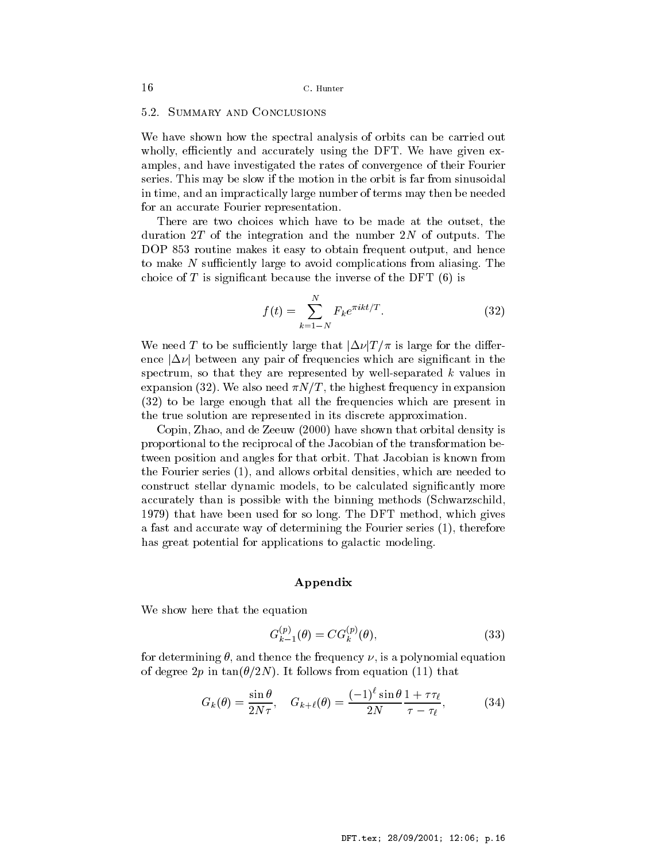# 5.2. Summary and Conclusions

We have shown how the spectral analysis of orbits can be carried out wholly, efficiently and accurately using the DFT. We have given examples, and have investigated the rates of convergence of their Fourier series. This may be slow if the motion in the orbit is far from sinusoidal in time, and an impractically large number of terms may then be needed for an accurate Fourier representation.

There are two choices which have to be made at the outset, the duration  $2T$  of the integration and the number  $2N$  of outputs. The DOP 853 routine makes it easy to obtain frequent output, and hence to make  $N$  sufficiently large to avoid complications from aliasing. The choice of T is significant because the inverse of the DFT  $(6)$  is

$$
f(t) = \sum_{k=1-N}^{N} F_k e^{\pi i kt/T}.
$$
 (32)

We need T to be sufficiently large that  $\frac{\Delta \nu}{T / \pi}$  is large for the difference  $|\Delta \nu|$  between any pair of frequencies which are significant in the spectrum, so that they are represented by well-separated  $k$  values in expansion (32). We also need  $\pi N/T$ , the highest frequency in expansion (32) to be large enough that all the frequencies which are present in the true solution are represented in its discrete approximation.

Copin, Zhao, and de Zeeuw (2000) have shown that orbital density is proportional to the reciprocal of the Jacobian of the transformation between position and angles for that orbit. That Jacobian is known from the Fourier series (1), and allows orbital densities, which are needed to construct stellar dynamic models, to be calculated signicantly more accurately than is possible with the binning methods (Schwarzschild, 1979) that have been used for so long. The DFT method, which gives a fast and accurate way of determining the Fourier series (1), therefore has great potential for applications to galactic modeling.

### Appendix

We show here that the equation

$$
G_{k-1}^{(p)}(\theta) = CG_k^{(p)}(\theta),
$$
\n(33)

for determining  $\theta$ , and thence the frequency  $\nu$ , is a polynomial equation of degree  $2p$  in  $tan(\theta/2N)$ . It follows from equation (11) that

$$
G_k(\theta) = \frac{\sin \theta}{2N\tau}, \quad G_{k+\ell}(\theta) = \frac{(-1)^{\ell} \sin \theta}{2N} \frac{1+\tau\tau_{\ell}}{\tau-\tau_{\ell}},
$$
(34)

16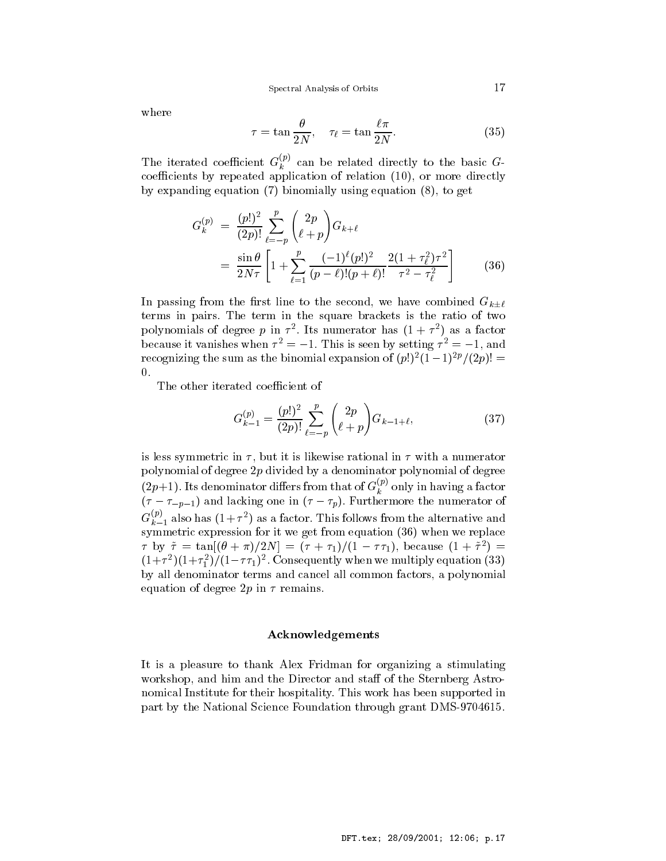where

$$
\tau = \tan \frac{\theta}{2N}, \quad \tau_{\ell} = \tan \frac{\ell \pi}{2N}.
$$
 (35)

The iterated coefficient  $G_k^{\varphi}$  can be related directly to the basic  $G$ coefficients by repeated application of relation (10), or more directly by expanding equation (7) binomially using equation (8), to get

$$
G_k^{(p)} = \frac{(p!)^2}{(2p)!} \sum_{\ell=-p}^p {2p \choose \ell+p} G_{k+\ell}
$$
  
= 
$$
\frac{\sin \theta}{2N\tau} \left[ 1 + \sum_{\ell=1}^p \frac{(-1)^{\ell}(p!)^2}{(p-\ell)!(p+\ell)!} \frac{2(1+\tau_{\ell}^2)\tau^2}{\tau^2-\tau_{\ell}^2} \right]
$$
(36)

In passing from the first line to the second, we have combined  $G_{k\pm\ell}$ terms in pairs. The term in the square brackets is the ratio of two polynomials of degree  $p$  in  $\tau$  . Its numerator has  $(1 + \tau)$  as a factor because it vanishes when  $\tau^-= -1$ . This is seen by setting  $\tau^-= -1$ , and recognizing the sum as the binomial expansion of  $(p)$  ( $1-1$ )  $^{\prime}$  /( $2p$ )!  $=$ 0.

The other iterated coefficient of

$$
G_{k-1}^{(p)} = \frac{(p!)^2}{(2p)!} \sum_{\ell=-p}^{p} {2p \choose \ell+p} G_{k-1+\ell}, \tag{37}
$$

is less symmetric in  $\tau$ , but it is likewise rational in  $\tau$  with a numerator polynomial of degree 2p divided by a denominator polynomial of degree  $(2p+1)$ . Its denominator differs from that of  $G_k^{(r)}$  only in having a factor  $(1 - 1-p-1)$  and lacking one in  $(1 - 1p)$ . Furthermore the numerator of  $G_{k-1}^{r}$  also has  $(1+\tau^2)$  as a factor. This follows from the alternative and symmetric expression for it we get from equation (36) when we replace  $\tau$  by  $\tau = \tan[(\theta + \pi)/2N] = (\tau + \tau)/[(1 - \tau)\tau]$ , because  $(1 + \tau)$  $(1+\tau)/(1+\tau_1)/(1-\tau_1)$ . Consequently when we multiply equation (33) by all denominator terms and cancel all common factors, a polynomial equation of degree  $2p$  in  $\tau$  remains.

# Acknowledgements

It is a pleasure to thank Alex Fridman for organizing a stimulating workshop, and him and the Director and staff of the Sternberg Astronomical Institute for their hospitality. This work has been supported in part by the National Science Foundation through grant DMS-9704615.